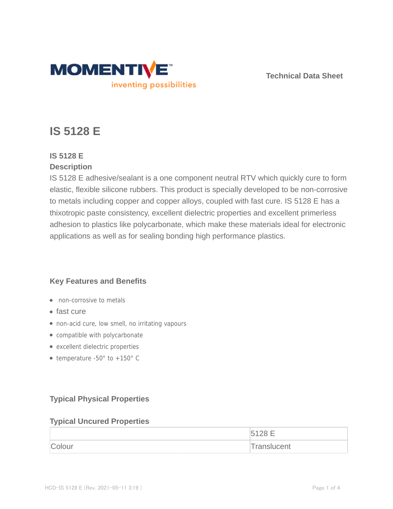

**Technical Data Sheet**

# **IS 5128 E**

# **IS 5128 E**

## **Description**

IS 5128 E adhesive/sealant is a one component neutral RTV which quickly cure to form elastic, flexible silicone rubbers. This product is specially developed to be non-corrosive to metals including copper and copper alloys, coupled with fast cure. IS 5128 E has a thixotropic paste consistency, excellent dielectric properties and excellent primerless adhesion to plastics like polycarbonate, which make these materials ideal for electronic applications as well as for sealing bonding high performance plastics.

## **Key Features and Benefits**

- non-corrosive to metals
- fast cure
- non-acid cure, low smell, no irritating vapours
- compatible with polycarbonate
- excellent dielectric properties
- temperature -50 $^{\circ}$  to +150 $^{\circ}$  C

# **Typical Physical Properties**

#### **Typical Uncured Properties**

|        | ∽           |
|--------|-------------|
| Colour | Translucent |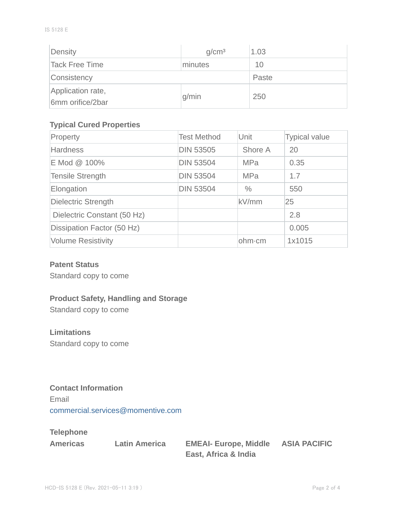| Density                               | q/cm <sup>3</sup> | 1.03  |
|---------------------------------------|-------------------|-------|
| Tack Free Time                        | minutes           | 10    |
| Consistency                           |                   | Paste |
| Application rate,<br>6mm orifice/2bar | g/min             | 250   |

## **Typical Cured Properties**

| Property                    | <b>Test Method</b> | Unit          | <b>Typical value</b> |
|-----------------------------|--------------------|---------------|----------------------|
| <b>Hardness</b>             | <b>DIN 53505</b>   | Shore A       | 20                   |
| E Mod @ 100%                | <b>DIN 53504</b>   | <b>MPa</b>    | 0.35                 |
| <b>Tensile Strength</b>     | <b>DIN 53504</b>   | <b>MPa</b>    | 1.7                  |
| Elongation                  | <b>DIN 53504</b>   | $\frac{0}{0}$ | 550                  |
| <b>Dielectric Strength</b>  |                    | kV/mm         | 25                   |
| Dielectric Constant (50 Hz) |                    |               | 2.8                  |
| Dissipation Factor (50 Hz)  |                    |               | 0.005                |
| <b>Volume Resistivity</b>   |                    | ohm-cm        | 1x1015               |

## **Patent Status**

Standard copy to come

## **Product Safety, Handling and Storage**

Standard copy to come

#### **Limitations**

Standard copy to come

#### **Contact Information**

Email commercial.services@momentive.com

## **Telephone**

|  | <b>Americas</b> |  |
|--|-----------------|--|
|  |                 |  |

**Americas Latin America EMEAI- Europe, Middle ASIA PACIFIC East, Africa & India**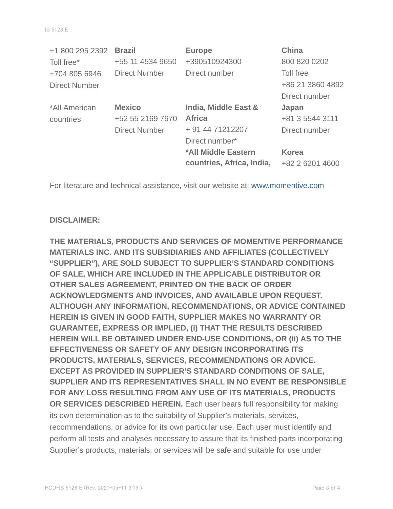| +1 800 295 2392      | <b>Brazil</b>        | <b>Europe</b>             | <b>China</b>     |
|----------------------|----------------------|---------------------------|------------------|
| Toll free*           | +55 11 4534 9650     | +390510924300             | 800 820 0202     |
| +704 805 6946        | <b>Direct Number</b> | Direct number             | Toll free        |
| <b>Direct Number</b> |                      |                           | +86 21 3860 4892 |
|                      |                      |                           | Direct number    |
| *All American        | <b>Mexico</b>        | India, Middle East &      | Japan            |
| countries            | +52 55 2169 7670     | <b>Africa</b>             | +81 3 5544 3111  |
|                      | <b>Direct Number</b> | + 91 44 71212207          | Direct number    |
|                      |                      | Direct number*            |                  |
|                      |                      | *All Middle Eastern       | <b>Korea</b>     |
|                      |                      | countries, Africa, India, | +82 2 6201 4600  |

For literature and technical assistance, visit our website at: www.momentive.com

#### **DISCLAIMER:**

**THE MATERIALS, PRODUCTS AND SERVICES OF MOMENTIVE PERFORMANCE MATERIALS INC. AND ITS SUBSIDIARIES AND AFFILIATES (COLLECTIVELY "SUPPLIER"), ARE SOLD SUBJECT TO SUPPLIER'S STANDARD CONDITIONS OF SALE, WHICH ARE INCLUDED IN THE APPLICABLE DISTRIBUTOR OR OTHER SALES AGREEMENT, PRINTED ON THE BACK OF ORDER ACKNOWLEDGMENTS AND INVOICES, AND AVAILABLE UPON REQUEST. ALTHOUGH ANY INFORMATION, RECOMMENDATIONS, OR ADVICE CONTAINED HEREIN IS GIVEN IN GOOD FAITH, SUPPLIER MAKES NO WARRANTY OR GUARANTEE, EXPRESS OR IMPLIED, (i) THAT THE RESULTS DESCRIBED HEREIN WILL BE OBTAINED UNDER END-USE CONDITIONS, OR (ii) AS TO THE EFFECTIVENESS OR SAFETY OF ANY DESIGN INCORPORATING ITS PRODUCTS, MATERIALS, SERVICES, RECOMMENDATIONS OR ADVICE. EXCEPT AS PROVIDED IN SUPPLIER'S STANDARD CONDITIONS OF SALE, SUPPLIER AND ITS REPRESENTATIVES SHALL IN NO EVENT BE RESPONSIBLE FOR ANY LOSS RESULTING FROM ANY USE OF ITS MATERIALS, PRODUCTS OR SERVICES DESCRIBED HEREIN.** Each user bears full responsibility for making its own determination as to the suitability of Supplier's materials, services, recommendations, or advice for its own particular use. Each user must identify and perform all tests and analyses necessary to assure that its finished parts incorporating Supplier's products, materials, or services will be safe and suitable for use under